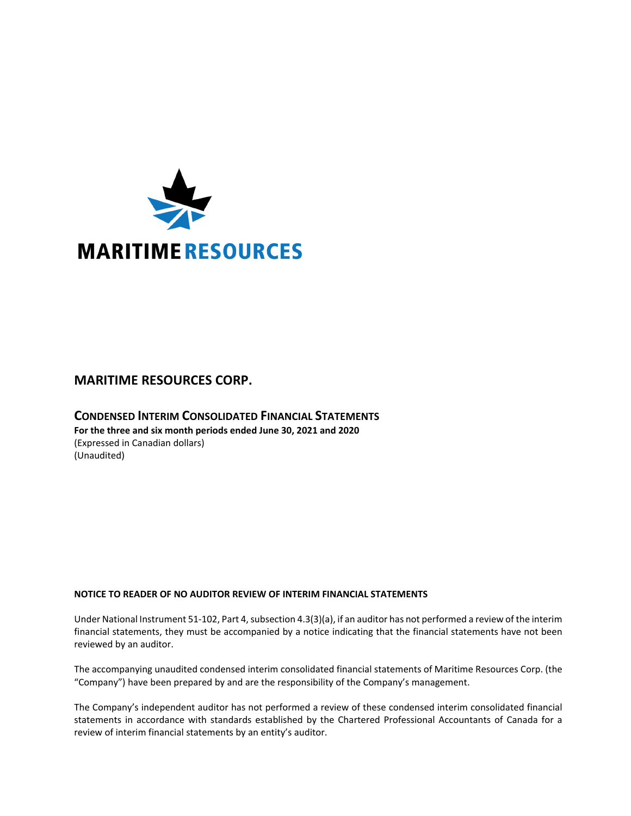

# **MARITIME RESOURCES CORP.**

**CONDENSED INTERIM CONSOLIDATED FINANCIAL STATEMENTS For the three and six month periods ended June 30, 2021 and 2020** (Expressed in Canadian dollars) (Unaudited)

# **NOTICE TO READER OF NO AUDITOR REVIEW OF INTERIM FINANCIAL STATEMENTS**

Under National Instrument 51-102, Part 4, subsection 4.3(3)(a), if an auditor has not performed a review of the interim financial statements, they must be accompanied by a notice indicating that the financial statements have not been reviewed by an auditor.

The accompanying unaudited condensed interim consolidated financial statements of Maritime Resources Corp. (the "Company") have been prepared by and are the responsibility of the Company's management.

The Company's independent auditor has not performed a review of these condensed interim consolidated financial statements in accordance with standards established by the Chartered Professional Accountants of Canada for a review of interim financial statements by an entity's auditor.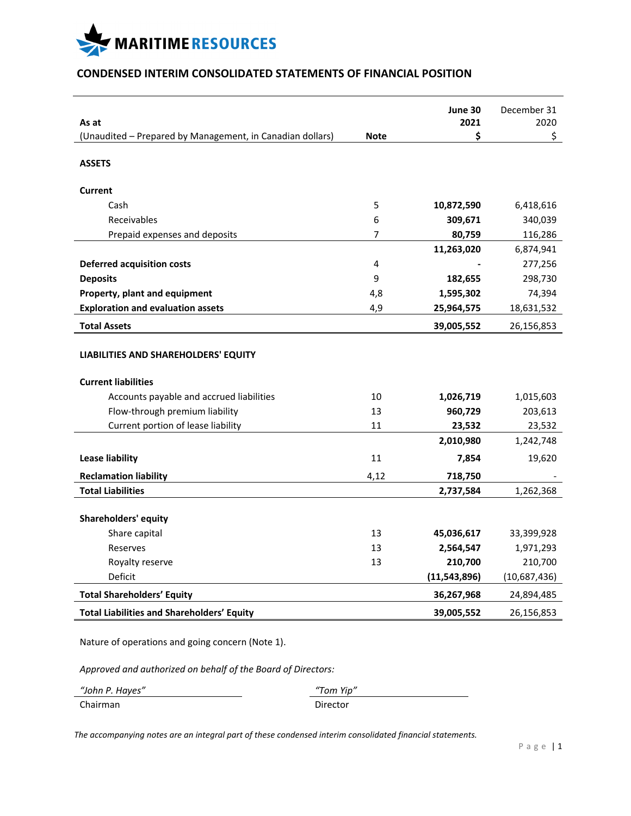

# **CONDENSED INTERIM CONSOLIDATED STATEMENTS OF FINANCIAL POSITION**

|                                                                    |             | June 30      | December 31  |
|--------------------------------------------------------------------|-------------|--------------|--------------|
| As at                                                              | <b>Note</b> | 2021<br>\$   | 2020<br>\$   |
| (Unaudited - Prepared by Management, in Canadian dollars)          |             |              |              |
| <b>ASSETS</b>                                                      |             |              |              |
| Current                                                            |             |              |              |
| Cash                                                               | 5           | 10,872,590   | 6,418,616    |
| Receivables                                                        | 6           | 309,671      | 340,039      |
| Prepaid expenses and deposits                                      | 7           | 80,759       | 116,286      |
|                                                                    |             | 11,263,020   | 6,874,941    |
| <b>Deferred acquisition costs</b>                                  | 4           |              | 277,256      |
| <b>Deposits</b>                                                    | 9           | 182,655      | 298,730      |
| Property, plant and equipment                                      | 4,8         | 1,595,302    | 74,394       |
| <b>Exploration and evaluation assets</b>                           | 4,9         | 25,964,575   | 18,631,532   |
| <b>Total Assets</b>                                                |             | 39,005,552   | 26,156,853   |
| LIABILITIES AND SHAREHOLDERS' EQUITY<br><b>Current liabilities</b> |             |              |              |
| Accounts payable and accrued liabilities                           | 10          | 1,026,719    | 1,015,603    |
| Flow-through premium liability                                     | 13          | 960,729      | 203,613      |
| Current portion of lease liability                                 | 11          | 23,532       | 23,532       |
|                                                                    |             | 2,010,980    | 1,242,748    |
| <b>Lease liability</b>                                             | 11          | 7,854        | 19,620       |
| <b>Reclamation liability</b>                                       | 4,12        | 718,750      |              |
| <b>Total Liabilities</b>                                           |             | 2,737,584    | 1,262,368    |
| Shareholders' equity                                               |             |              |              |
| Share capital                                                      | 13          | 45,036,617   | 33,399,928   |
| Reserves                                                           | 13          | 2,564,547    | 1,971,293    |
| Royalty reserve                                                    | 13          | 210,700      | 210,700      |
| Deficit                                                            |             | (11,543,896) | (10,687,436) |
| <b>Total Shareholders' Equity</b>                                  |             | 36,267,968   | 24,894,485   |
| <b>Total Liabilities and Shareholders' Equity</b>                  |             | 39,005,552   | 26,156,853   |

Nature of operations and going concern (Note 1).

*Approved and authorized on behalf of the Board of Directors:*

| "John P. Hayes" | "Tom Yip" |  |
|-----------------|-----------|--|
| Chairman        | Director  |  |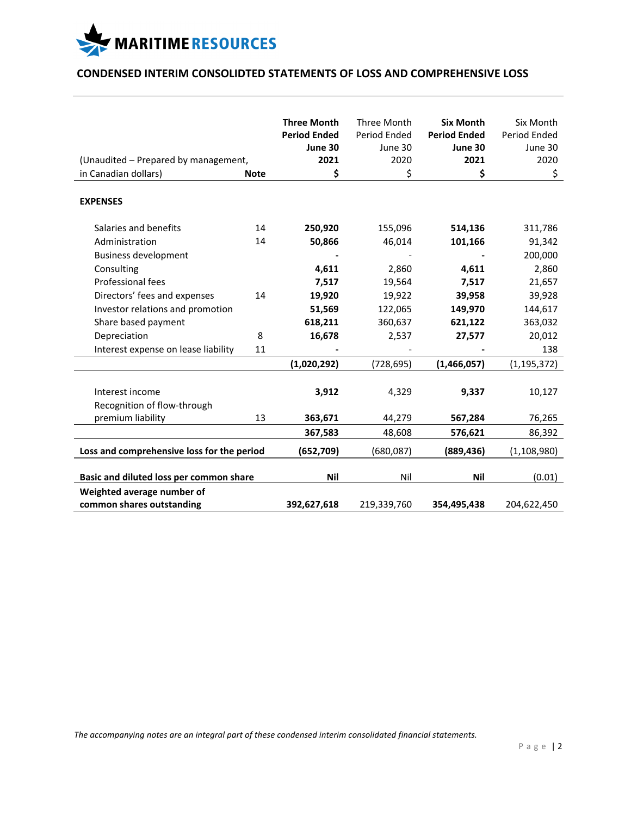

# **CONDENSED INTERIM CONSOLIDTED STATEMENTS OF LOSS AND COMPREHENSIVE LOSS**

| (Unaudited - Prepared by management,<br>in Canadian dollars)                            | <b>Note</b> | <b>Three Month</b><br><b>Period Ended</b><br>June 30<br>2021<br>\$ | Three Month<br>Period Ended<br>June 30<br>2020<br>\$ | <b>Six Month</b><br><b>Period Ended</b><br>June 30<br>2021<br>\$ | Six Month<br>Period Ended<br>June 30<br>2020<br>\$ |
|-----------------------------------------------------------------------------------------|-------------|--------------------------------------------------------------------|------------------------------------------------------|------------------------------------------------------------------|----------------------------------------------------|
| <b>EXPENSES</b>                                                                         |             |                                                                    |                                                      |                                                                  |                                                    |
| Salaries and benefits<br>Administration<br><b>Business development</b>                  | 14<br>14    | 250,920<br>50,866                                                  | 155,096<br>46,014                                    | 514,136<br>101,166                                               | 311,786<br>91,342<br>200,000                       |
| Consulting<br>Professional fees                                                         |             | 4,611<br>7,517                                                     | 2,860<br>19,564                                      | 4,611<br>7,517                                                   | 2,860<br>21,657                                    |
| Directors' fees and expenses<br>Investor relations and promotion<br>Share based payment | 14          | 19,920<br>51,569<br>618,211                                        | 19,922<br>122,065<br>360,637                         | 39,958<br>149,970<br>621,122                                     | 39,928<br>144,617<br>363,032                       |
| Depreciation<br>Interest expense on lease liability                                     | 8<br>11     | 16,678                                                             | 2,537                                                | 27,577                                                           | 20,012<br>138                                      |
|                                                                                         |             | (1,020,292)                                                        | (728, 695)                                           | (1,466,057)                                                      | (1, 195, 372)                                      |
| Interest income<br>Recognition of flow-through                                          |             | 3,912                                                              | 4,329                                                | 9,337                                                            | 10,127                                             |
| premium liability                                                                       | 13          | 363,671                                                            | 44,279                                               | 567,284                                                          | 76,265                                             |
|                                                                                         |             | 367,583                                                            | 48,608                                               | 576,621                                                          | 86,392                                             |
| Loss and comprehensive loss for the period                                              |             | (652, 709)                                                         | (680,087)                                            | (889, 436)                                                       | (1, 108, 980)                                      |
| Basic and diluted loss per common share                                                 |             | <b>Nil</b>                                                         | Nil                                                  | <b>Nil</b>                                                       | (0.01)                                             |
| Weighted average number of<br>common shares outstanding                                 |             | 392,627,618                                                        | 219,339,760                                          | 354,495,438                                                      | 204,622,450                                        |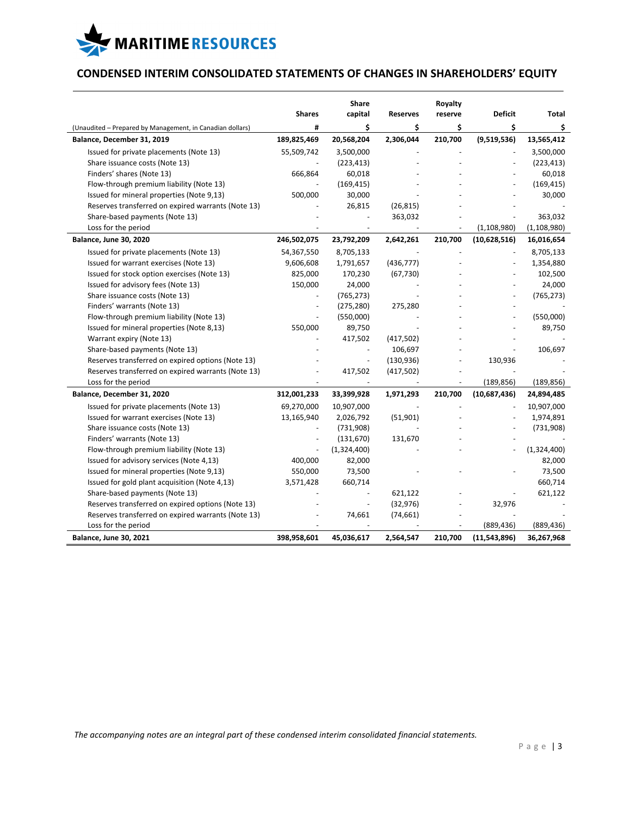

# **CONDENSED INTERIM CONSOLIDATED STATEMENTS OF CHANGES IN SHAREHOLDERS' EQUITY**

|                                                           | <b>Shares</b>            | Share<br>capital | <b>Reserves</b> | Royalty<br>reserve       | <b>Deficit</b> | Total         |
|-----------------------------------------------------------|--------------------------|------------------|-----------------|--------------------------|----------------|---------------|
| (Unaudited - Prepared by Management, in Canadian dollars) | #                        | \$               | \$              | \$                       | \$             | \$            |
| Balance, December 31, 2019                                | 189,825,469              | 20,568,204       | 2,306,044       | 210,700                  | (9,519,536)    | 13,565,412    |
| Issued for private placements (Note 13)                   | 55,509,742               | 3,500,000        |                 |                          |                | 3,500,000     |
| Share issuance costs (Note 13)                            |                          | (223, 413)       |                 |                          |                | (223, 413)    |
| Finders' shares (Note 13)                                 | 666,864                  | 60,018           |                 |                          |                | 60,018        |
| Flow-through premium liability (Note 13)                  |                          | (169, 415)       |                 |                          |                | (169, 415)    |
| Issued for mineral properties (Note 9,13)                 | 500,000                  | 30,000           |                 |                          |                | 30,000        |
| Reserves transferred on expired warrants (Note 13)        |                          | 26,815           | (26, 815)       |                          |                |               |
| Share-based payments (Note 13)                            |                          |                  | 363,032         |                          |                | 363,032       |
| Loss for the period                                       |                          |                  |                 |                          | (1, 108, 980)  | (1, 108, 980) |
| <b>Balance, June 30, 2020</b>                             | 246,502,075              | 23,792,209       | 2,642,261       | 210,700                  | (10,628,516)   | 16,016,654    |
|                                                           |                          |                  |                 |                          |                |               |
| Issued for private placements (Note 13)                   | 54,367,550               | 8,705,133        |                 | $\overline{\phantom{a}}$ |                | 8,705,133     |
| Issued for warrant exercises (Note 13)                    | 9,606,608                | 1,791,657        | (436, 777)      |                          |                | 1,354,880     |
| Issued for stock option exercises (Note 13)               | 825,000                  | 170,230          | (67, 730)       |                          |                | 102,500       |
| Issued for advisory fees (Note 13)                        | 150,000                  | 24,000           |                 |                          |                | 24,000        |
| Share issuance costs (Note 13)                            | $\overline{\phantom{a}}$ | (765, 273)       |                 |                          |                | (765, 273)    |
| Finders' warrants (Note 13)                               | $\sim$                   | (275, 280)       | 275,280         |                          |                |               |
| Flow-through premium liability (Note 13)                  |                          | (550,000)        |                 |                          |                | (550,000)     |
| Issued for mineral properties (Note 8,13)                 | 550,000                  | 89,750           |                 |                          |                | 89,750        |
| Warrant expiry (Note 13)                                  |                          | 417,502          | (417,502)       |                          |                |               |
| Share-based payments (Note 13)                            |                          | ÷,               | 106,697         |                          |                | 106,697       |
| Reserves transferred on expired options (Note 13)         |                          |                  | (130, 936)      |                          | 130,936        |               |
| Reserves transferred on expired warrants (Note 13)        |                          | 417,502          | (417, 502)      |                          |                |               |
| Loss for the period                                       |                          |                  |                 |                          | (189, 856)     | (189, 856)    |
| Balance, December 31, 2020                                | 312,001,233              | 33,399,928       | 1,971,293       | 210,700                  | (10,687,436)   | 24,894,485    |
| Issued for private placements (Note 13)                   | 69,270,000               | 10,907,000       |                 |                          |                | 10,907,000    |
| Issued for warrant exercises (Note 13)                    | 13,165,940               | 2,026,792        | (51,901)        |                          |                | 1,974,891     |
| Share issuance costs (Note 13)                            |                          | (731,908)        |                 |                          |                | (731,908)     |
| Finders' warrants (Note 13)                               |                          | (131, 670)       | 131,670         |                          |                |               |
| Flow-through premium liability (Note 13)                  |                          | (1,324,400)      |                 |                          |                | (1,324,400)   |
| Issued for advisory services (Note 4,13)                  | 400,000                  | 82,000           |                 |                          |                | 82,000        |
| Issued for mineral properties (Note 9,13)                 | 550,000                  | 73,500           |                 |                          |                | 73,500        |
| Issued for gold plant acquisition (Note 4,13)             | 3,571,428                | 660,714          |                 |                          |                | 660,714       |
| Share-based payments (Note 13)                            |                          |                  | 621,122         |                          |                | 621,122       |
| Reserves transferred on expired options (Note 13)         |                          | $\blacksquare$   | (32, 976)       |                          | 32,976         |               |
| Reserves transferred on expired warrants (Note 13)        |                          | 74,661           | (74, 661)       |                          |                |               |
| Loss for the period                                       |                          |                  |                 |                          | (889, 436)     | (889, 436)    |
| <b>Balance, June 30, 2021</b>                             | 398,958,601              | 45,036,617       | 2,564,547       | 210,700                  | (11,543,896)   | 36,267,968    |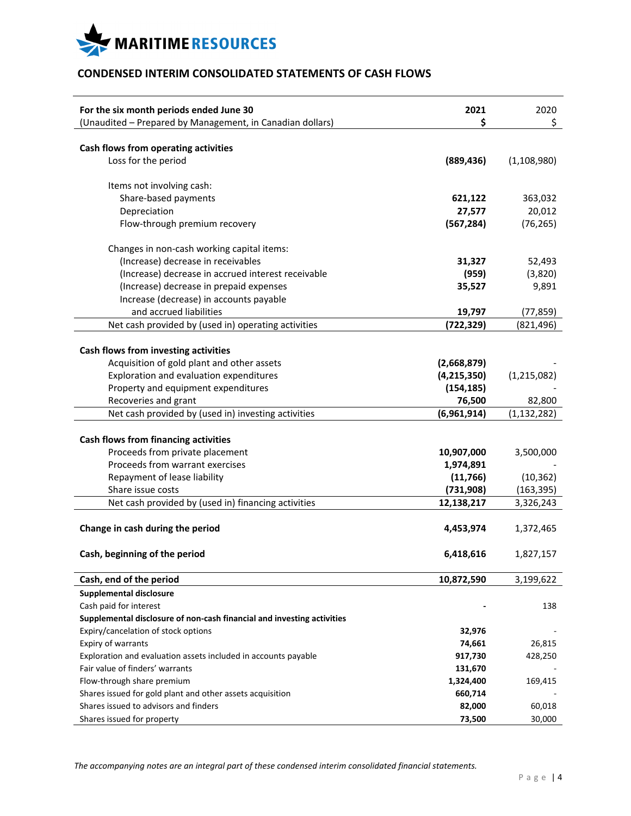

# **CONDENSED INTERIM CONSOLIDATED STATEMENTS OF CASH FLOWS**

| For the six month periods ended June 30<br>(Unaudited - Prepared by Management, in Canadian dollars) | 2021<br>\$    | 2020<br>\$    |
|------------------------------------------------------------------------------------------------------|---------------|---------------|
|                                                                                                      |               |               |
| Cash flows from operating activities                                                                 |               |               |
| Loss for the period                                                                                  | (889, 436)    | (1, 108, 980) |
| Items not involving cash:                                                                            |               |               |
| Share-based payments                                                                                 | 621,122       | 363,032       |
| Depreciation                                                                                         | 27,577        | 20,012        |
| Flow-through premium recovery                                                                        | (567, 284)    | (76, 265)     |
| Changes in non-cash working capital items:                                                           |               |               |
| (Increase) decrease in receivables                                                                   | 31,327        | 52,493        |
| (Increase) decrease in accrued interest receivable                                                   | (959)         | (3,820)       |
| (Increase) decrease in prepaid expenses                                                              | 35,527        | 9,891         |
| Increase (decrease) in accounts payable                                                              |               |               |
| and accrued liabilities                                                                              | 19,797        | (77, 859)     |
| Net cash provided by (used in) operating activities                                                  | (722, 329)    | (821, 496)    |
|                                                                                                      |               |               |
| Cash flows from investing activities                                                                 |               |               |
| Acquisition of gold plant and other assets                                                           | (2,668,879)   |               |
| Exploration and evaluation expenditures                                                              | (4, 215, 350) | (1,215,082)   |
| Property and equipment expenditures                                                                  | (154, 185)    |               |
| Recoveries and grant                                                                                 | 76,500        | 82,800        |
| Net cash provided by (used in) investing activities                                                  | (6,961,914)   | (1, 132, 282) |
|                                                                                                      |               |               |
| <b>Cash flows from financing activities</b>                                                          |               |               |
| Proceeds from private placement                                                                      | 10,907,000    | 3,500,000     |
| Proceeds from warrant exercises                                                                      | 1,974,891     |               |
| Repayment of lease liability                                                                         | (11, 766)     | (10, 362)     |
| Share issue costs                                                                                    | (731,908)     | (163, 395)    |
| Net cash provided by (used in) financing activities                                                  | 12,138,217    | 3,326,243     |
| Change in cash during the period                                                                     | 4,453,974     | 1,372,465     |
|                                                                                                      |               |               |
| Cash, beginning of the period                                                                        | 6,418,616     | 1,827,157     |
| Cash, end of the period                                                                              | 10,872,590    | 3,199,622     |
| <b>Supplemental disclosure</b>                                                                       |               |               |
| Cash paid for interest                                                                               |               | 138           |
| Supplemental disclosure of non-cash financial and investing activities                               |               |               |
| Expiry/cancelation of stock options                                                                  | 32,976        |               |
| Expiry of warrants                                                                                   | 74,661        | 26,815        |
| Exploration and evaluation assets included in accounts payable                                       | 917,730       | 428,250       |
| Fair value of finders' warrants                                                                      | 131,670       |               |
| Flow-through share premium                                                                           | 1,324,400     | 169,415       |
| Shares issued for gold plant and other assets acquisition                                            | 660,714       |               |
| Shares issued to advisors and finders                                                                | 82,000        | 60,018        |
| Shares issued for property                                                                           | 73,500        | 30,000        |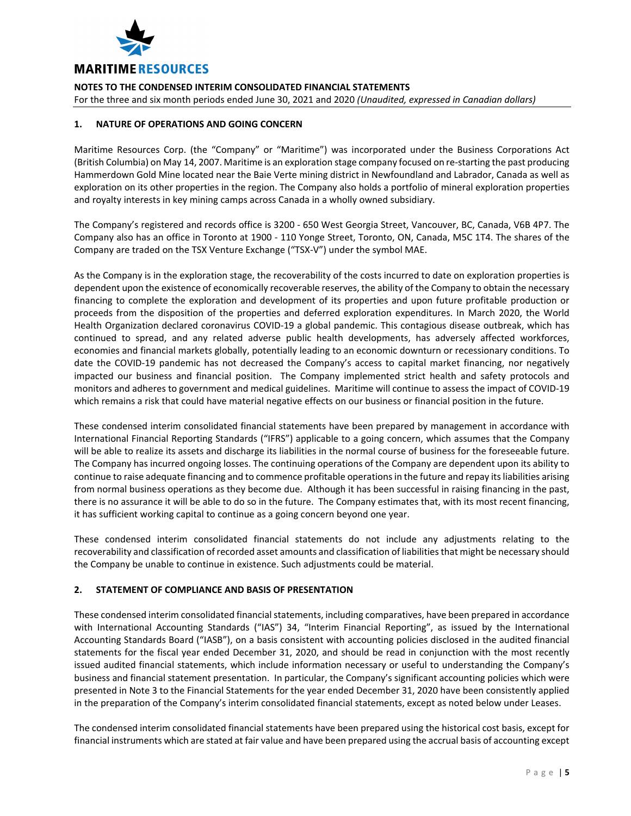

For the three and six month periods ended June 30, 2021 and 2020 *(Unaudited, expressed in Canadian dollars)*

# **1. NATURE OF OPERATIONS AND GOING CONCERN**

Maritime Resources Corp. (the "Company" or "Maritime") was incorporated under the Business Corporations Act (British Columbia) on May 14, 2007. Maritime is an exploration stage company focused on re‐starting the past producing Hammerdown Gold Mine located near the Baie Verte mining district in Newfoundland and Labrador, Canada as well as exploration on its other properties in the region. The Company also holds a portfolio of mineral exploration properties and royalty interests in key mining camps across Canada in a wholly owned subsidiary.

The Company's registered and records office is 3200 ‐ 650 West Georgia Street, Vancouver, BC, Canada, V6B 4P7. The Company also has an office in Toronto at 1900 ‐ 110 Yonge Street, Toronto, ON, Canada, M5C 1T4. The shares of the Company are traded on the TSX Venture Exchange ("TSX‐V") under the symbol MAE.

As the Company is in the exploration stage, the recoverability of the costs incurred to date on exploration properties is dependent upon the existence of economically recoverable reserves, the ability of the Company to obtain the necessary financing to complete the exploration and development of its properties and upon future profitable production or proceeds from the disposition of the properties and deferred exploration expenditures. In March 2020, the World Health Organization declared coronavirus COVID‐19 a global pandemic. This contagious disease outbreak, which has continued to spread, and any related adverse public health developments, has adversely affected workforces, economies and financial markets globally, potentially leading to an economic downturn or recessionary conditions. To date the COVID‐19 pandemic has not decreased the Company's access to capital market financing, nor negatively impacted our business and financial position. The Company implemented strict health and safety protocols and monitors and adheres to government and medical guidelines. Maritime will continue to assess the impact of COVID‐19 which remains a risk that could have material negative effects on our business or financial position in the future.

These condensed interim consolidated financial statements have been prepared by management in accordance with International Financial Reporting Standards ("IFRS") applicable to a going concern, which assumes that the Company will be able to realize its assets and discharge its liabilities in the normal course of business for the foreseeable future. The Company has incurred ongoing losses. The continuing operations of the Company are dependent upon its ability to continue to raise adequate financing and to commence profitable operationsin the future and repay itsliabilities arising from normal business operations as they become due. Although it has been successful in raising financing in the past, there is no assurance it will be able to do so in the future. The Company estimates that, with its most recent financing, it has sufficient working capital to continue as a going concern beyond one year.

These condensed interim consolidated financial statements do not include any adjustments relating to the recoverability and classification of recorded asset amounts and classification of liabilitiesthat might be necessary should the Company be unable to continue in existence. Such adjustments could be material.

# **2. STATEMENT OF COMPLIANCE AND BASIS OF PRESENTATION**

These condensed interim consolidated financial statements, including comparatives, have been prepared in accordance with International Accounting Standards ("IAS") 34, "Interim Financial Reporting", as issued by the International Accounting Standards Board ("IASB"), on a basis consistent with accounting policies disclosed in the audited financial statements for the fiscal year ended December 31, 2020, and should be read in conjunction with the most recently issued audited financial statements, which include information necessary or useful to understanding the Company's business and financial statement presentation. In particular, the Company's significant accounting policies which were presented in Note 3 to the Financial Statements for the year ended December 31, 2020 have been consistently applied in the preparation of the Company's interim consolidated financial statements, except as noted below under Leases.

The condensed interim consolidated financial statements have been prepared using the historical cost basis, except for financial instruments which are stated at fair value and have been prepared using the accrual basis of accounting except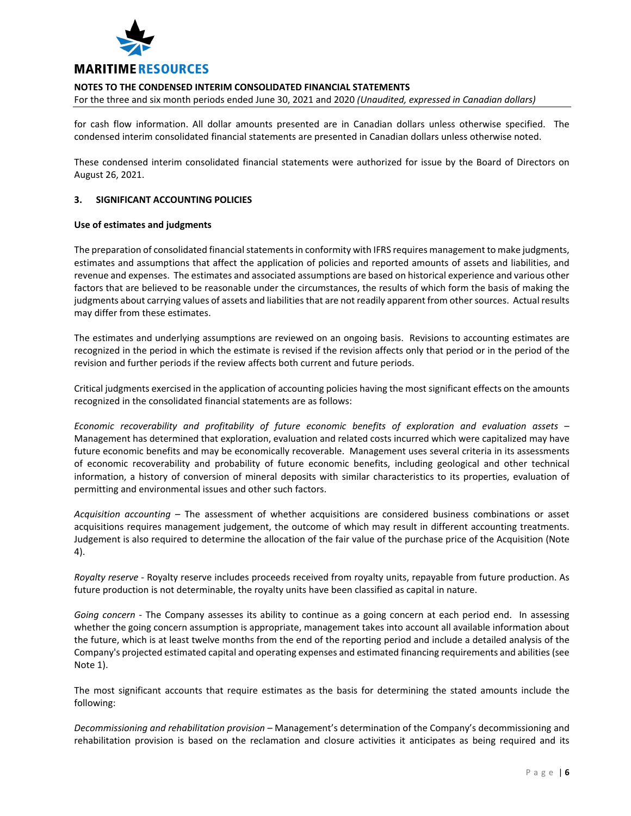

For the three and six month periods ended June 30, 2021 and 2020 *(Unaudited, expressed in Canadian dollars)*

for cash flow information. All dollar amounts presented are in Canadian dollars unless otherwise specified. The condensed interim consolidated financial statements are presented in Canadian dollars unless otherwise noted.

These condensed interim consolidated financial statements were authorized for issue by the Board of Directors on August 26, 2021.

# **3. SIGNIFICANT ACCOUNTING POLICIES**

# **Use of estimates and judgments**

The preparation of consolidated financial statements in conformity with IFRS requires management to make judgments, estimates and assumptions that affect the application of policies and reported amounts of assets and liabilities, and revenue and expenses. The estimates and associated assumptions are based on historical experience and various other factors that are believed to be reasonable under the circumstances, the results of which form the basis of making the judgments about carrying values of assets and liabilities that are not readily apparent from other sources. Actual results may differ from these estimates.

The estimates and underlying assumptions are reviewed on an ongoing basis. Revisions to accounting estimates are recognized in the period in which the estimate is revised if the revision affects only that period or in the period of the revision and further periods if the review affects both current and future periods.

Critical judgments exercised in the application of accounting policies having the most significant effects on the amounts recognized in the consolidated financial statements are as follows:

*Economic recoverability and profitability of future economic benefits of exploration and evaluation assets* – Management has determined that exploration, evaluation and related costs incurred which were capitalized may have future economic benefits and may be economically recoverable. Management uses several criteria in its assessments of economic recoverability and probability of future economic benefits, including geological and other technical information, a history of conversion of mineral deposits with similar characteristics to its properties, evaluation of permitting and environmental issues and other such factors.

*Acquisition accounting* – The assessment of whether acquisitions are considered business combinations or asset acquisitions requires management judgement, the outcome of which may result in different accounting treatments. Judgement is also required to determine the allocation of the fair value of the purchase price of the Acquisition (Note 4).

*Royalty reserve* ‐ Royalty reserve includes proceeds received from royalty units, repayable from future production. As future production is not determinable, the royalty units have been classified as capital in nature.

*Going concern* - The Company assesses its ability to continue as a going concern at each period end. In assessing whether the going concern assumption is appropriate, management takes into account all available information about the future, which is at least twelve months from the end of the reporting period and include a detailed analysis of the Company's projected estimated capital and operating expenses and estimated financing requirements and abilities(see Note 1).

The most significant accounts that require estimates as the basis for determining the stated amounts include the following:

*Decommissioning and rehabilitation provision* – Management's determination of the Company's decommissioning and rehabilitation provision is based on the reclamation and closure activities it anticipates as being required and its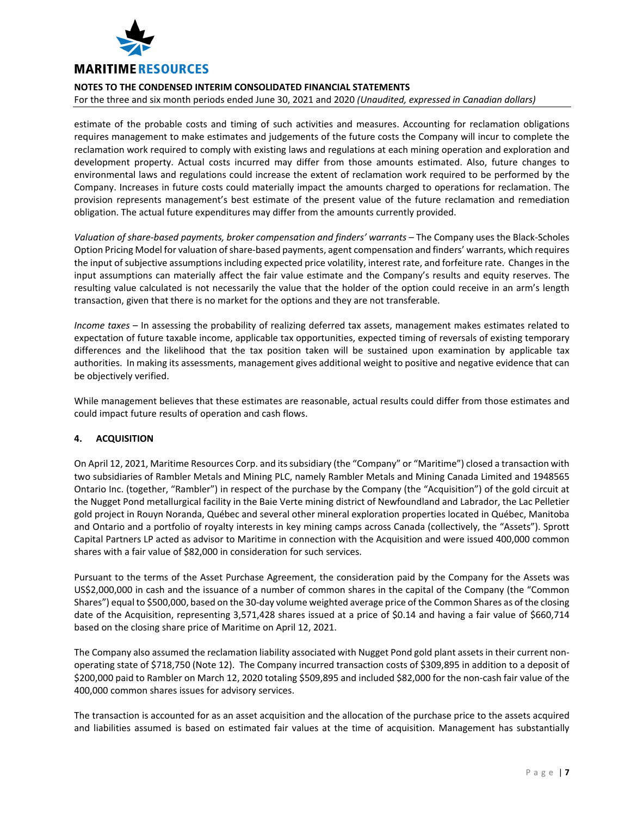

For the three and six month periods ended June 30, 2021 and 2020 *(Unaudited, expressed in Canadian dollars)*

estimate of the probable costs and timing of such activities and measures. Accounting for reclamation obligations requires management to make estimates and judgements of the future costs the Company will incur to complete the reclamation work required to comply with existing laws and regulations at each mining operation and exploration and development property. Actual costs incurred may differ from those amounts estimated. Also, future changes to environmental laws and regulations could increase the extent of reclamation work required to be performed by the Company. Increases in future costs could materially impact the amounts charged to operations for reclamation. The provision represents management's best estimate of the present value of the future reclamation and remediation obligation. The actual future expenditures may differ from the amounts currently provided.

*Valuation of share‐based payments, broker compensation and finders' warrants* – The Company uses the Black‐Scholes Option Pricing Model for valuation ofshare‐based payments, agent compensation and finders' warrants, which requires the input of subjective assumptions including expected price volatility, interest rate, and forfeiture rate. Changes in the input assumptions can materially affect the fair value estimate and the Company's results and equity reserves. The resulting value calculated is not necessarily the value that the holder of the option could receive in an arm's length transaction, given that there is no market for the options and they are not transferable.

*Income taxes* – In assessing the probability of realizing deferred tax assets, management makes estimates related to expectation of future taxable income, applicable tax opportunities, expected timing of reversals of existing temporary differences and the likelihood that the tax position taken will be sustained upon examination by applicable tax authorities. In making its assessments, management gives additional weight to positive and negative evidence that can be objectively verified.

While management believes that these estimates are reasonable, actual results could differ from those estimates and could impact future results of operation and cash flows.

# **4. ACQUISITION**

On April 12, 2021, Maritime Resources Corp. and itssubsidiary (the "Company" or "Maritime") closed a transaction with two subsidiaries of Rambler Metals and Mining PLC, namely Rambler Metals and Mining Canada Limited and 1948565 Ontario Inc. (together, "Rambler") in respect of the purchase by the Company (the "Acquisition") of the gold circuit at the Nugget Pond metallurgical facility in the Baie Verte mining district of Newfoundland and Labrador, the Lac Pelletier gold project in Rouyn Noranda, Québec and several other mineral exploration properties located in Québec, Manitoba and Ontario and a portfolio of royalty interests in key mining camps across Canada (collectively, the "Assets"). Sprott Capital Partners LP acted as advisor to Maritime in connection with the Acquisition and were issued 400,000 common shares with a fair value of \$82,000 in consideration for such services.

Pursuant to the terms of the Asset Purchase Agreement, the consideration paid by the Company for the Assets was US\$2,000,000 in cash and the issuance of a number of common shares in the capital of the Company (the "Common Shares") equal to \$500,000, based on the 30-day volume weighted average price of the Common Shares as of the closing date of the Acquisition, representing 3,571,428 shares issued at a price of \$0.14 and having a fair value of \$660,714 based on the closing share price of Maritime on April 12, 2021.

The Company also assumed the reclamation liability associated with Nugget Pond gold plant assets in their current non‐ operating state of \$718,750 (Note 12). The Company incurred transaction costs of \$309,895 in addition to a deposit of \$200,000 paid to Rambler on March 12, 2020 totaling \$509,895 and included \$82,000 for the non‐cash fair value of the 400,000 common shares issues for advisory services.

The transaction is accounted for as an asset acquisition and the allocation of the purchase price to the assets acquired and liabilities assumed is based on estimated fair values at the time of acquisition. Management has substantially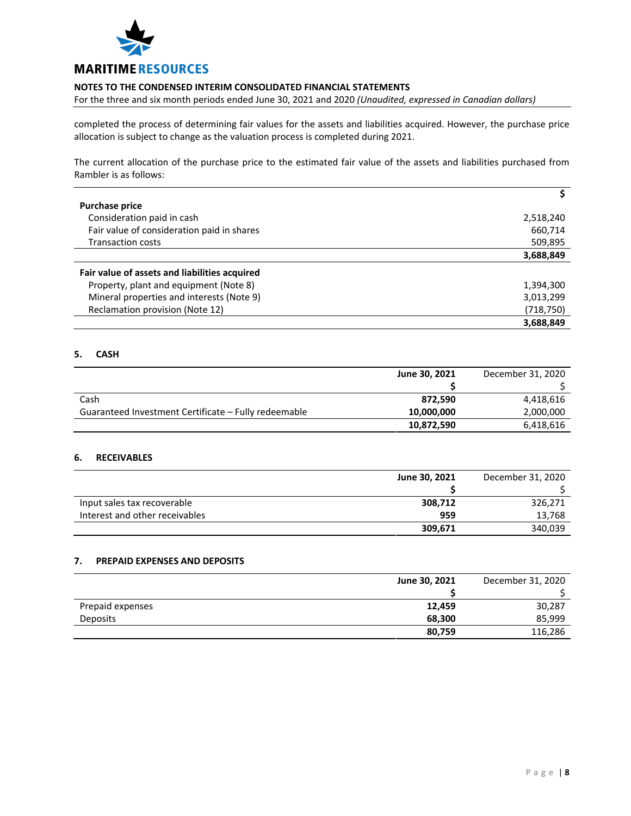

For the three and six month periods ended June 30, 2021 and 2020 *(Unaudited, expressed in Canadian dollars)*

completed the process of determining fair values for the assets and liabilities acquired. However, the purchase price allocation is subject to change as the valuation process is completed during 2021.

The current allocation of the purchase price to the estimated fair value of the assets and liabilities purchased from Rambler is as follows:

| <b>Purchase price</b>                         |            |
|-----------------------------------------------|------------|
| Consideration paid in cash                    | 2,518,240  |
| Fair value of consideration paid in shares    | 660,714    |
| <b>Transaction costs</b>                      | 509,895    |
|                                               | 3,688,849  |
| Fair value of assets and liabilities acquired |            |
| Property, plant and equipment (Note 8)        | 1,394,300  |
| Mineral properties and interests (Note 9)     | 3,013,299  |
| Reclamation provision (Note 12)               | (718, 750) |
|                                               | 3,688,849  |

# **5. CASH**

|                                                      | June 30, 2021 | December 31, 2020 |
|------------------------------------------------------|---------------|-------------------|
|                                                      |               |                   |
| Cash                                                 | 872.590       | 4,418,616         |
| Guaranteed Investment Certificate – Fully redeemable | 10,000,000    | 2,000,000         |
|                                                      | 10,872,590    | 6,418,616         |

# **6. RECEIVABLES**

|                                | June 30, 2021 | December 31, 2020 |
|--------------------------------|---------------|-------------------|
|                                |               |                   |
| Input sales tax recoverable    | 308,712       | 326,271           |
| Interest and other receivables | 959           | 13,768            |
|                                | 309,671       | 340,039           |

# **7. PREPAID EXPENSES AND DEPOSITS**

|                  | June 30, 2021 | December 31, 2020 |
|------------------|---------------|-------------------|
|                  |               |                   |
| Prepaid expenses | 12,459        | 30,287            |
| <b>Deposits</b>  | 68,300        | 85,999            |
|                  | 80,759        | 116,286           |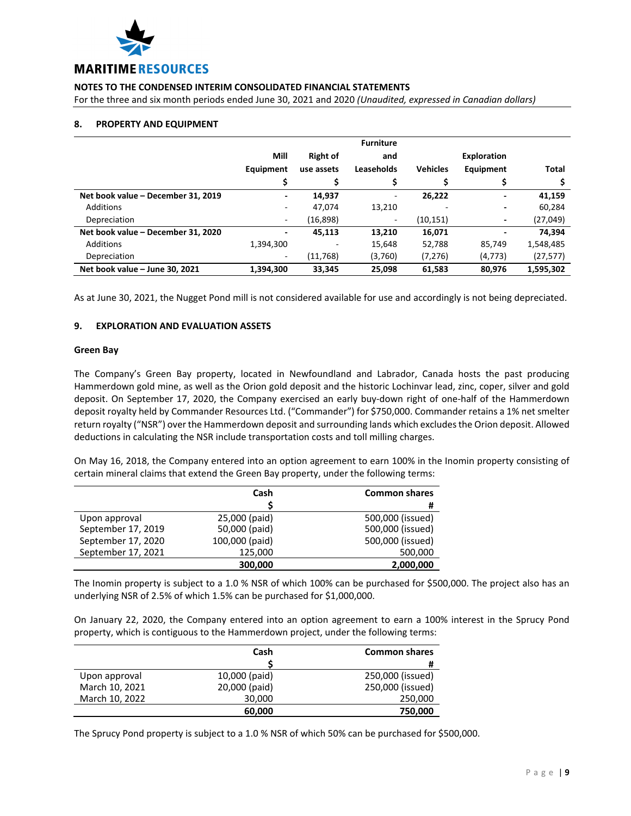

For the three and six month periods ended June 30, 2021 and 2020 *(Unaudited, expressed in Canadian dollars)*

# **8. PROPERTY AND EQUIPMENT**

|                                    |           |                 | <b>Furniture</b> |                 |                    |              |
|------------------------------------|-----------|-----------------|------------------|-----------------|--------------------|--------------|
|                                    | Mill      | <b>Right of</b> | and              |                 | <b>Exploration</b> |              |
|                                    | Equipment | use assets      | Leaseholds       | <b>Vehicles</b> | Equipment          | <b>Total</b> |
|                                    |           |                 |                  |                 |                    |              |
| Net book value - December 31, 2019 |           | 14,937          | -                | 26,222          |                    | 41,159       |
| Additions                          |           | 47,074          | 13.210           |                 |                    | 60,284       |
| Depreciation                       | ۰.        | (16, 898)       | ٠                | (10, 151)       |                    | (27, 049)    |
| Net book value - December 31, 2020 | ٠         | 45,113          | 13,210           | 16,071          |                    | 74,394       |
| Additions                          | 1,394,300 |                 | 15,648           | 52,788          | 85,749             | 1,548,485    |
| Depreciation                       | -         | (11,768)        | (3,760)          | (7, 276)        | (4, 773)           | (27, 577)    |
| Net book value - June 30, 2021     | 1,394,300 | 33,345          | 25,098           | 61,583          | 80,976             | 1,595,302    |

As at June 30, 2021, the Nugget Pond mill is not considered available for use and accordingly is not being depreciated.

# **9. EXPLORATION AND EVALUATION ASSETS**

#### **Green Bay**

The Company's Green Bay property, located in Newfoundland and Labrador, Canada hosts the past producing Hammerdown gold mine, as well as the Orion gold deposit and the historic Lochinvar lead, zinc, coper, silver and gold deposit. On September 17, 2020, the Company exercised an early buy‐down right of one‐half of the Hammerdown deposit royalty held by Commander Resources Ltd. ("Commander") for \$750,000. Commander retains a 1% net smelter return royalty ("NSR") over the Hammerdown deposit and surrounding lands which excludesthe Orion deposit. Allowed deductions in calculating the NSR include transportation costs and toll milling charges.

On May 16, 2018, the Company entered into an option agreement to earn 100% in the Inomin property consisting of certain mineral claims that extend the Green Bay property, under the following terms:

|                    | Cash           | <b>Common shares</b> |
|--------------------|----------------|----------------------|
|                    |                | #                    |
| Upon approval      | 25,000 (paid)  | 500,000 (issued)     |
| September 17, 2019 | 50,000 (paid)  | 500,000 (issued)     |
| September 17, 2020 | 100,000 (paid) | 500,000 (issued)     |
| September 17, 2021 | 125,000        | 500,000              |
|                    | 300,000        | 2,000,000            |

The Inomin property is subject to a 1.0 % NSR of which 100% can be purchased for \$500,000. The project also has an underlying NSR of 2.5% of which 1.5% can be purchased for \$1,000,000.

On January 22, 2020, the Company entered into an option agreement to earn a 100% interest in the Sprucy Pond property, which is contiguous to the Hammerdown project, under the following terms:

|                | Cash          | <b>Common shares</b> |
|----------------|---------------|----------------------|
|                |               | #                    |
| Upon approval  | 10,000 (paid) | 250,000 (issued)     |
| March 10, 2021 | 20,000 (paid) | 250,000 (issued)     |
| March 10, 2022 | 30,000        | 250,000              |
|                | 60,000        | 750,000              |

The Sprucy Pond property is subject to a 1.0 % NSR of which 50% can be purchased for \$500,000.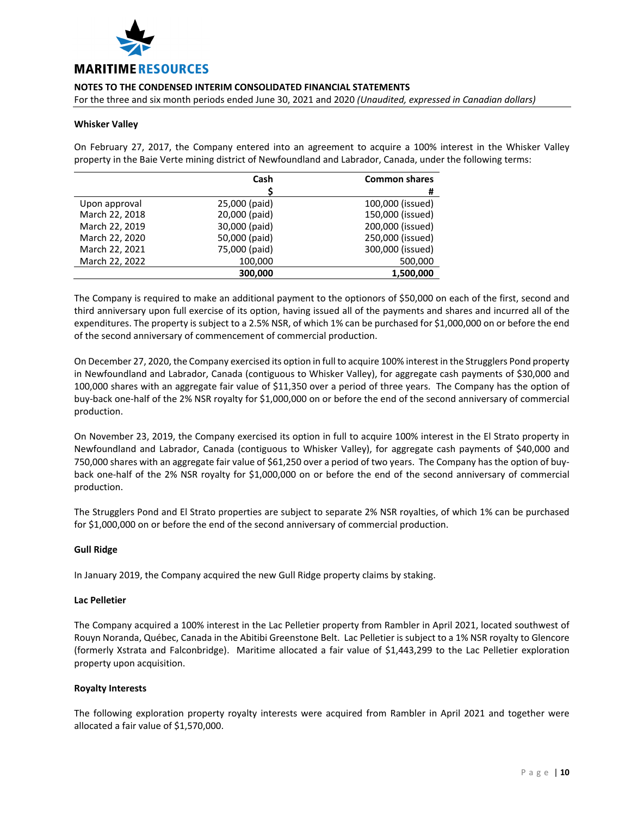

For the three and six month periods ended June 30, 2021 and 2020 *(Unaudited, expressed in Canadian dollars)*

# **Whisker Valley**

On February 27, 2017, the Company entered into an agreement to acquire a 100% interest in the Whisker Valley property in the Baie Verte mining district of Newfoundland and Labrador, Canada, under the following terms:

|                | Cash          | <b>Common shares</b> |
|----------------|---------------|----------------------|
|                |               | #                    |
| Upon approval  | 25,000 (paid) | 100,000 (issued)     |
| March 22, 2018 | 20,000 (paid) | 150,000 (issued)     |
| March 22, 2019 | 30,000 (paid) | 200,000 (issued)     |
| March 22, 2020 | 50,000 (paid) | 250,000 (issued)     |
| March 22, 2021 | 75,000 (paid) | 300,000 (issued)     |
| March 22, 2022 | 100,000       | 500,000              |
|                | 300,000       | 1,500,000            |

The Company is required to make an additional payment to the optionors of \$50,000 on each of the first, second and third anniversary upon full exercise of its option, having issued all of the payments and shares and incurred all of the expenditures. The property is subject to a 2.5% NSR, of which 1% can be purchased for \$1,000,000 on or before the end of the second anniversary of commencement of commercial production.

On December 27, 2020, the Company exercised its option in full to acquire 100% interest in the Strugglers Pond property in Newfoundland and Labrador, Canada (contiguous to Whisker Valley), for aggregate cash payments of \$30,000 and 100,000 shares with an aggregate fair value of \$11,350 over a period of three years. The Company has the option of buy‐back one‐half of the 2% NSR royalty for \$1,000,000 on or before the end of the second anniversary of commercial production.

On November 23, 2019, the Company exercised its option in full to acquire 100% interest in the El Strato property in Newfoundland and Labrador, Canada (contiguous to Whisker Valley), for aggregate cash payments of \$40,000 and 750,000 shares with an aggregate fair value of \$61,250 over a period of two years. The Company has the option of buy‐ back one‐half of the 2% NSR royalty for \$1,000,000 on or before the end of the second anniversary of commercial production.

The Strugglers Pond and El Strato properties are subject to separate 2% NSR royalties, of which 1% can be purchased for \$1,000,000 on or before the end of the second anniversary of commercial production.

# **Gull Ridge**

In January 2019, the Company acquired the new Gull Ridge property claims by staking.

#### **Lac Pelletier**

The Company acquired a 100% interest in the Lac Pelletier property from Rambler in April 2021, located southwest of Rouyn Noranda, Québec, Canada in the Abitibi Greenstone Belt. Lac Pelletier is subject to a 1% NSR royalty to Glencore (formerly Xstrata and Falconbridge). Maritime allocated a fair value of \$1,443,299 to the Lac Pelletier exploration property upon acquisition.

#### **Royalty Interests**

The following exploration property royalty interests were acquired from Rambler in April 2021 and together were allocated a fair value of \$1,570,000.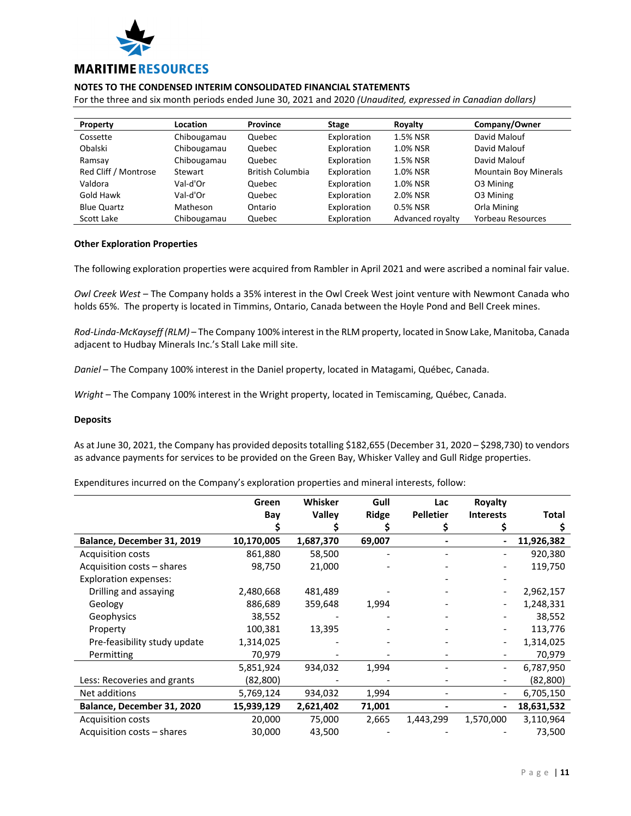

For the three and six month periods ended June 30, 2021 and 2020 *(Unaudited, expressed in Canadian dollars)*

| Property             | Location    | <b>Province</b>         | <b>Stage</b> | Royalty          | Company/Owner                |
|----------------------|-------------|-------------------------|--------------|------------------|------------------------------|
| Cossette             | Chibougamau | Quebec                  | Exploration  | 1.5% NSR         | David Malouf                 |
| Obalski              | Chibougamau | Quebec                  | Exploration  | 1.0% NSR         | David Malouf                 |
| Ramsay               | Chibougamau | Quebec                  | Exploration  | 1.5% NSR         | David Malouf                 |
| Red Cliff / Montrose | Stewart     | <b>British Columbia</b> | Exploration  | 1.0% NSR         | <b>Mountain Boy Minerals</b> |
| Valdora              | Val-d'Or    | Quebec                  | Exploration  | 1.0% NSR         | O3 Mining                    |
| Gold Hawk            | Val-d'Or    | Quebec                  | Exploration  | 2.0% NSR         | O3 Mining                    |
| <b>Blue Quartz</b>   | Matheson    | Ontario                 | Exploration  | 0.5% NSR         | Orla Mining                  |
| Scott Lake           | Chibougamau | Quebec                  | Exploration  | Advanced royalty | Yorbeau Resources            |

# **Other Exploration Properties**

The following exploration properties were acquired from Rambler in April 2021 and were ascribed a nominal fair value.

*Owl Creek West* – The Company holds a 35% interest in the Owl Creek West joint venture with Newmont Canada who holds 65%. The property is located in Timmins, Ontario, Canada between the Hoyle Pond and Bell Creek mines.

*Rod‐Linda‐McKayseff (RLM)* – The Company 100% interest in the RLM property, located in Snow Lake, Manitoba, Canada adjacent to Hudbay Minerals Inc.'s Stall Lake mill site.

*Daniel* – The Company 100% interest in the Daniel property, located in Matagami, Québec, Canada.

*Wright* – The Company 100% interest in the Wright property, located in Temiscaming, Québec, Canada.

# **Deposits**

As at June 30, 2021, the Company has provided deposits totalling \$182,655 (December 31, 2020 – \$298,730) to vendors as advance payments for services to be provided on the Green Bay, Whisker Valley and Gull Ridge properties.

Expenditures incurred on the Company's exploration properties and mineral interests, follow:

|                              | Green      | Whisker       | Gull         | Lac              | Royalty          |              |
|------------------------------|------------|---------------|--------------|------------------|------------------|--------------|
|                              | Bay        | <b>Valley</b> | <b>Ridge</b> | <b>Pelletier</b> | <b>Interests</b> | <b>Total</b> |
|                              |            |               |              | Ş                |                  |              |
| Balance, December 31, 2019   | 10,170,005 | 1,687,370     | 69,007       |                  |                  | 11,926,382   |
| <b>Acquisition costs</b>     | 861,880    | 58,500        |              |                  |                  | 920,380      |
| Acquisition costs - shares   | 98,750     | 21,000        |              |                  |                  | 119,750      |
| <b>Exploration expenses:</b> |            |               |              |                  |                  |              |
| Drilling and assaying        | 2,480,668  | 481,489       |              |                  |                  | 2,962,157    |
| Geology                      | 886,689    | 359,648       | 1,994        |                  |                  | 1,248,331    |
| Geophysics                   | 38,552     |               |              |                  |                  | 38,552       |
| Property                     | 100,381    | 13,395        |              |                  |                  | 113,776      |
| Pre-feasibility study update | 1,314,025  |               |              |                  |                  | 1,314,025    |
| Permitting                   | 70,979     |               |              |                  |                  | 70,979       |
|                              | 5,851,924  | 934,032       | 1,994        |                  |                  | 6,787,950    |
| Less: Recoveries and grants  | (82,800)   |               |              |                  |                  | (82,800)     |
| Net additions                | 5,769,124  | 934,032       | 1,994        |                  |                  | 6,705,150    |
| Balance, December 31, 2020   | 15,939,129 | 2,621,402     | 71,001       |                  |                  | 18,631,532   |
| <b>Acquisition costs</b>     | 20,000     | 75,000        | 2,665        | 1,443,299        | 1,570,000        | 3,110,964    |
| Acquisition costs - shares   | 30,000     | 43,500        |              |                  |                  | 73,500       |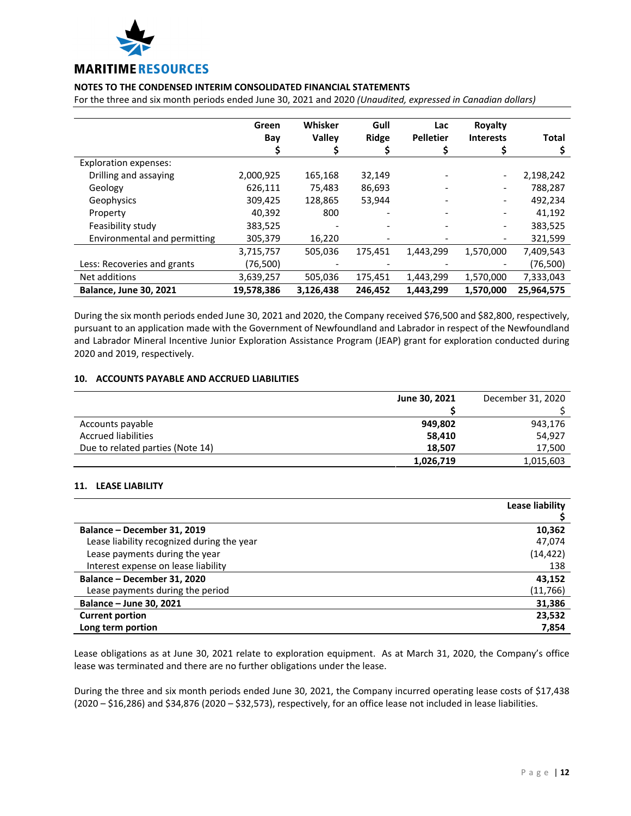

For the three and six month periods ended June 30, 2021 and 2020 *(Unaudited, expressed in Canadian dollars)*

|                               | Green      | Whisker       | Gull         | Lac              | Royalty          |              |
|-------------------------------|------------|---------------|--------------|------------------|------------------|--------------|
|                               | Bay        | <b>Valley</b> | <b>Ridge</b> | <b>Pelletier</b> | <b>Interests</b> | <b>Total</b> |
|                               |            |               |              |                  |                  |              |
| <b>Exploration expenses:</b>  |            |               |              |                  |                  |              |
| Drilling and assaying         | 2,000,925  | 165,168       | 32,149       |                  |                  | 2,198,242    |
| Geology                       | 626,111    | 75,483        | 86,693       |                  |                  | 788,287      |
| Geophysics                    | 309,425    | 128,865       | 53,944       |                  |                  | 492,234      |
| Property                      | 40,392     | 800           | -            |                  |                  | 41,192       |
| Feasibility study             | 383,525    |               |              |                  |                  | 383,525      |
| Environmental and permitting  | 305,379    | 16,220        |              |                  |                  | 321,599      |
|                               | 3,715,757  | 505,036       | 175,451      | 1,443,299        | 1,570,000        | 7,409,543    |
| Less: Recoveries and grants   | (76,500)   |               |              |                  |                  | (76,500)     |
| Net additions                 | 3,639,257  | 505,036       | 175,451      | 1,443,299        | 1,570,000        | 7,333,043    |
| <b>Balance, June 30, 2021</b> | 19,578,386 | 3,126,438     | 246,452      | 1,443,299        | 1,570,000        | 25,964,575   |

During the six month periods ended June 30, 2021 and 2020, the Company received \$76,500 and \$82,800, respectively, pursuant to an application made with the Government of Newfoundland and Labrador in respect of the Newfoundland and Labrador Mineral Incentive Junior Exploration Assistance Program (JEAP) grant for exploration conducted during 2020 and 2019, respectively.

# **10. ACCOUNTS PAYABLE AND ACCRUED LIABILITIES**

|                                  | June 30, 2021 | December 31, 2020 |
|----------------------------------|---------------|-------------------|
|                                  |               |                   |
| Accounts payable                 | 949,802       | 943,176           |
| <b>Accrued liabilities</b>       | 58,410        | 54,927            |
| Due to related parties (Note 14) | 18.507        | 17,500            |
|                                  | 1,026,719     | 1,015,603         |

# **11. LEASE LIABILITY**

|                                            | Lease liability |
|--------------------------------------------|-----------------|
|                                            |                 |
| Balance - December 31, 2019                | 10,362          |
| Lease liability recognized during the year | 47,074          |
| Lease payments during the year             | (14, 422)       |
| Interest expense on lease liability        | 138             |
| Balance - December 31, 2020                | 43,152          |
| Lease payments during the period           | (11,766)        |
| Balance – June 30, 2021                    | 31,386          |
| <b>Current portion</b>                     | 23,532          |
| Long term portion                          | 7,854           |

Lease obligations as at June 30, 2021 relate to exploration equipment. As at March 31, 2020, the Company's office lease was terminated and there are no further obligations under the lease.

During the three and six month periods ended June 30, 2021, the Company incurred operating lease costs of \$17,438 (2020 – \$16,286) and \$34,876 (2020 – \$32,573), respectively, for an office lease not included in lease liabilities.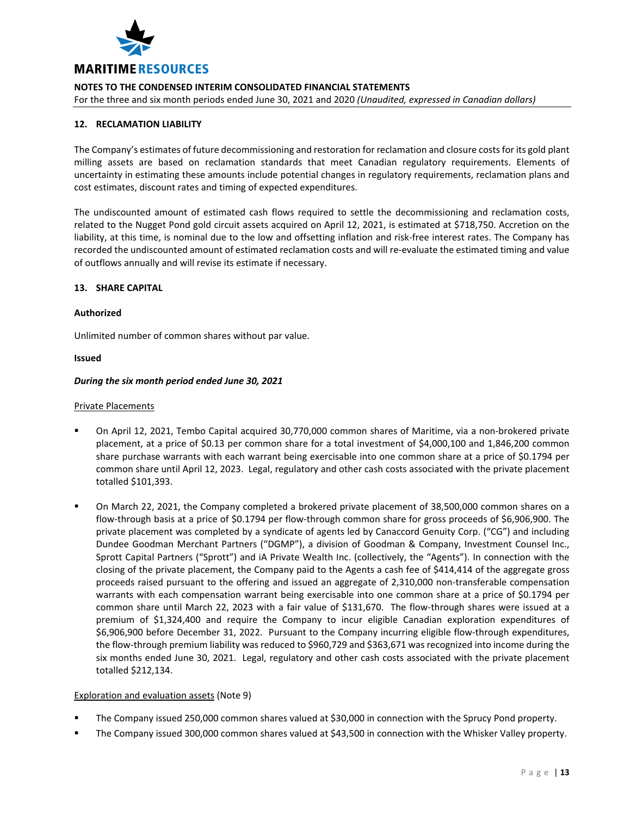

For the three and six month periods ended June 30, 2021 and 2020 *(Unaudited, expressed in Canadian dollars)*

# **12. RECLAMATION LIABILITY**

The Company's estimates of future decommissioning and restoration for reclamation and closure costs for its gold plant milling assets are based on reclamation standards that meet Canadian regulatory requirements. Elements of uncertainty in estimating these amounts include potential changes in regulatory requirements, reclamation plans and cost estimates, discount rates and timing of expected expenditures.

The undiscounted amount of estimated cash flows required to settle the decommissioning and reclamation costs, related to the Nugget Pond gold circuit assets acquired on April 12, 2021, is estimated at \$718,750. Accretion on the liability, at this time, is nominal due to the low and offsetting inflation and risk‐free interest rates. The Company has recorded the undiscounted amount of estimated reclamation costs and will re‐evaluate the estimated timing and value of outflows annually and will revise its estimate if necessary.

# **13. SHARE CAPITAL**

#### **Authorized**

Unlimited number of common shares without par value.

#### **Issued**

#### *During the six month period ended June 30, 2021*

#### Private Placements

- On April 12, 2021, Tembo Capital acquired 30,770,000 common shares of Maritime, via a non‐brokered private placement, at a price of \$0.13 per common share for a total investment of \$4,000,100 and 1,846,200 common share purchase warrants with each warrant being exercisable into one common share at a price of \$0.1794 per common share until April 12, 2023. Legal, regulatory and other cash costs associated with the private placement totalled \$101,393.
- On March 22, 2021, the Company completed a brokered private placement of 38,500,000 common shares on a flow-through basis at a price of \$0.1794 per flow-through common share for gross proceeds of \$6,906,900. The private placement was completed by a syndicate of agents led by Canaccord Genuity Corp. ("CG") and including Dundee Goodman Merchant Partners ("DGMP"), a division of Goodman & Company, Investment Counsel Inc., Sprott Capital Partners ("Sprott") and iA Private Wealth Inc. (collectively, the "Agents"). In connection with the closing of the private placement, the Company paid to the Agents a cash fee of \$414,414 of the aggregate gross proceeds raised pursuant to the offering and issued an aggregate of 2,310,000 non-transferable compensation warrants with each compensation warrant being exercisable into one common share at a price of \$0.1794 per common share until March 22, 2023 with a fair value of \$131,670. The flow-through shares were issued at a premium of \$1,324,400 and require the Company to incur eligible Canadian exploration expenditures of \$6,906,900 before December 31, 2022. Pursuant to the Company incurring eligible flow‐through expenditures, the flow‐through premium liability was reduced to \$960,729 and \$363,671 was recognized into income during the six months ended June 30, 2021. Legal, regulatory and other cash costs associated with the private placement totalled \$212,134.

# Exploration and evaluation assets (Note 9)

- The Company issued 250,000 common shares valued at \$30,000 in connection with the Sprucy Pond property.
- The Company issued 300,000 common shares valued at \$43,500 in connection with the Whisker Valley property.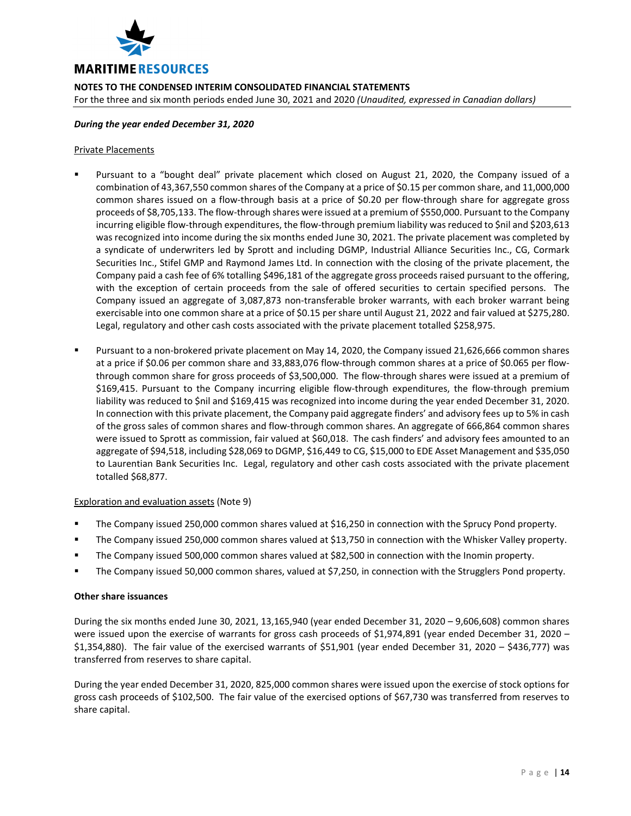

**NOTES TO THE CONDENSED INTERIM CONSOLIDATED FINANCIAL STATEMENTS**  For the three and six month periods ended June 30, 2021 and 2020 *(Unaudited, expressed in Canadian dollars)*

# *During the year ended December 31, 2020*

# Private Placements

- Pursuant to a "bought deal" private placement which closed on August 21, 2020, the Company issued of a combination of 43,367,550 common shares of the Company at a price of \$0.15 per common share, and 11,000,000 common shares issued on a flow‐through basis at a price of \$0.20 per flow‐through share for aggregate gross proceeds of \$8,705,133. The flow‐through shares were issued at a premium of \$550,000. Pursuant to the Company incurring eligible flow-through expenditures, the flow-through premium liability was reduced to \$nil and \$203,613 was recognized into income during the six months ended June 30, 2021. The private placement was completed by a syndicate of underwriters led by Sprott and including DGMP, Industrial Alliance Securities Inc., CG, Cormark Securities Inc., Stifel GMP and Raymond James Ltd. In connection with the closing of the private placement, the Company paid a cash fee of 6% totalling \$496,181 of the aggregate gross proceeds raised pursuant to the offering, with the exception of certain proceeds from the sale of offered securities to certain specified persons. The Company issued an aggregate of 3,087,873 non‐transferable broker warrants, with each broker warrant being exercisable into one common share at a price of \$0.15 per share until August 21, 2022 and fair valued at \$275,280. Legal, regulatory and other cash costs associated with the private placement totalled \$258,975.
- Pursuant to a non‐brokered private placement on May 14, 2020, the Company issued 21,626,666 common shares at a price if \$0.06 per common share and 33,883,076 flow‐through common shares at a price of \$0.065 per flow‐ through common share for gross proceeds of \$3,500,000. The flow‐through shares were issued at a premium of \$169,415. Pursuant to the Company incurring eligible flow‐through expenditures, the flow‐through premium liability was reduced to \$nil and \$169,415 was recognized into income during the year ended December 31, 2020. In connection with this private placement, the Company paid aggregate finders' and advisory fees up to 5% in cash of the gross sales of common shares and flow‐through common shares. An aggregate of 666,864 common shares were issued to Sprott as commission, fair valued at \$60,018. The cash finders' and advisory fees amounted to an aggregate of \$94,518, including \$28,069 to DGMP, \$16,449 to CG, \$15,000 to EDE Asset Management and \$35,050 to Laurentian Bank Securities Inc. Legal, regulatory and other cash costs associated with the private placement totalled \$68,877.

# Exploration and evaluation assets (Note 9)

- The Company issued 250,000 common shares valued at \$16,250 in connection with the Sprucy Pond property.
- The Company issued 250,000 common shares valued at \$13,750 in connection with the Whisker Valley property.
- The Company issued 500,000 common shares valued at \$82,500 in connection with the Inomin property.
- The Company issued 50,000 common shares, valued at \$7,250, in connection with the Strugglers Pond property.

# **Other share issuances**

During the six months ended June 30, 2021, 13,165,940 (year ended December 31, 2020 – 9,606,608) common shares were issued upon the exercise of warrants for gross cash proceeds of \$1,974,891 (year ended December 31, 2020 – \$1,354,880). The fair value of the exercised warrants of \$51,901 (year ended December 31, 2020 – \$436,777) was transferred from reserves to share capital.

During the year ended December 31, 2020, 825,000 common shares were issued upon the exercise of stock options for gross cash proceeds of \$102,500. The fair value of the exercised options of \$67,730 was transferred from reserves to share capital.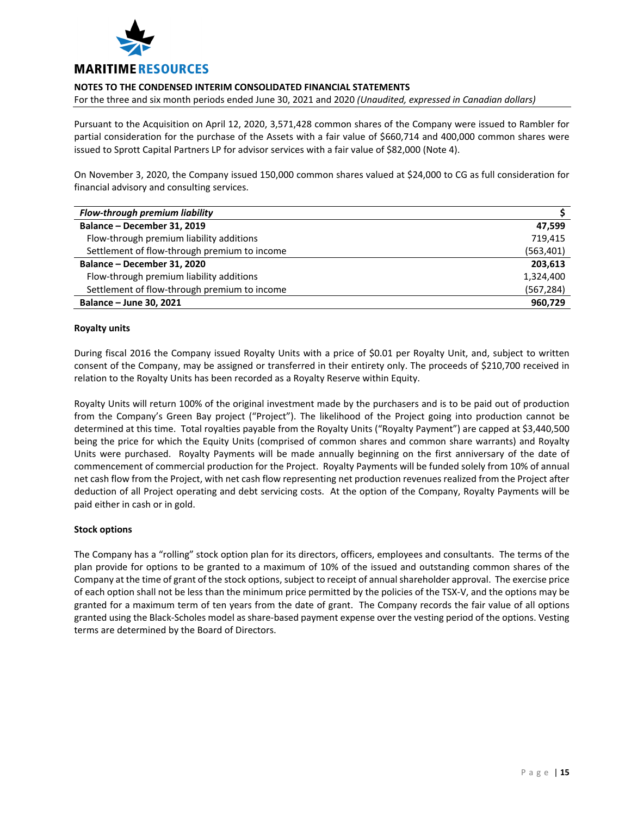

For the three and six month periods ended June 30, 2021 and 2020 *(Unaudited, expressed in Canadian dollars)*

Pursuant to the Acquisition on April 12, 2020, 3,571,428 common shares of the Company were issued to Rambler for partial consideration for the purchase of the Assets with a fair value of \$660,714 and 400,000 common shares were issued to Sprott Capital Partners LP for advisor services with a fair value of \$82,000 (Note 4).

On November 3, 2020, the Company issued 150,000 common shares valued at \$24,000 to CG as full consideration for financial advisory and consulting services.

| Flow-through premium liability               |            |
|----------------------------------------------|------------|
| Balance - December 31, 2019                  | 47.599     |
| Flow-through premium liability additions     | 719.415    |
| Settlement of flow-through premium to income | (563,401)  |
| Balance - December 31, 2020                  | 203.613    |
| Flow-through premium liability additions     | 1,324,400  |
| Settlement of flow-through premium to income | (567, 284) |
| Balance - June 30, 2021                      | 960,729    |

# **Royalty units**

During fiscal 2016 the Company issued Royalty Units with a price of \$0.01 per Royalty Unit, and, subject to written consent of the Company, may be assigned or transferred in their entirety only. The proceeds of \$210,700 received in relation to the Royalty Units has been recorded as a Royalty Reserve within Equity.

Royalty Units will return 100% of the original investment made by the purchasers and is to be paid out of production from the Company's Green Bay project ("Project"). The likelihood of the Project going into production cannot be determined at this time. Total royalties payable from the Royalty Units ("Royalty Payment") are capped at \$3,440,500 being the price for which the Equity Units (comprised of common shares and common share warrants) and Royalty Units were purchased. Royalty Payments will be made annually beginning on the first anniversary of the date of commencement of commercial production for the Project. Royalty Payments will be funded solely from 10% of annual net cash flow from the Project, with net cash flow representing net production revenues realized from the Project after deduction of all Project operating and debt servicing costs. At the option of the Company, Royalty Payments will be paid either in cash or in gold.

# **Stock options**

The Company has a "rolling" stock option plan for its directors, officers, employees and consultants. The terms of the plan provide for options to be granted to a maximum of 10% of the issued and outstanding common shares of the Company at the time of grant of the stock options, subject to receipt of annualshareholder approval. The exercise price of each option shall not be less than the minimum price permitted by the policies of the TSX‐V, and the options may be granted for a maximum term of ten years from the date of grant. The Company records the fair value of all options granted using the Black‐Scholes model as share‐based payment expense over the vesting period of the options. Vesting terms are determined by the Board of Directors.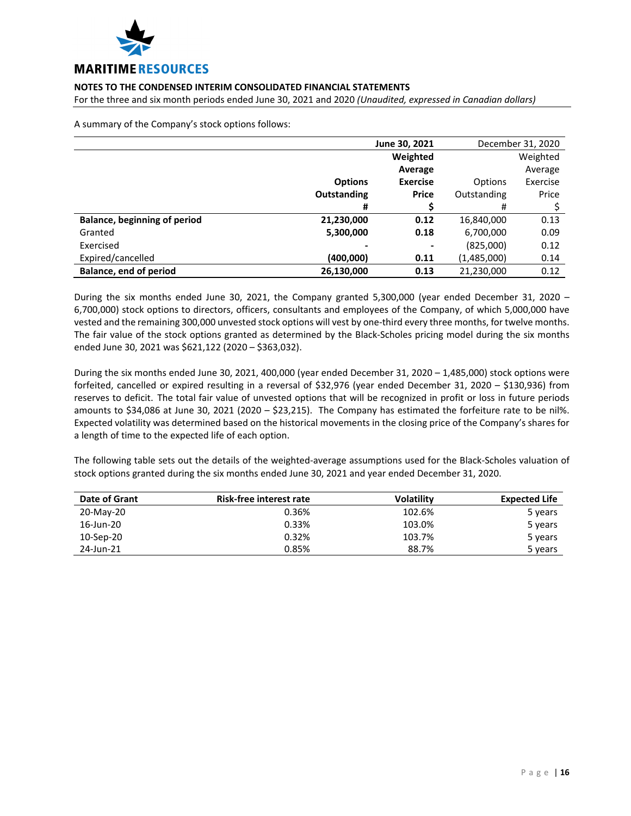

For the three and six month periods ended June 30, 2021 and 2020 *(Unaudited, expressed in Canadian dollars)*

A summary of the Company's stock options follows:

|                               | June 30, 2021      | December 31, 2020 |             |          |
|-------------------------------|--------------------|-------------------|-------------|----------|
|                               |                    | Weighted          |             | Weighted |
|                               |                    | Average           |             | Average  |
|                               | <b>Options</b>     | <b>Exercise</b>   | Options     | Exercise |
|                               | <b>Outstanding</b> | <b>Price</b>      | Outstanding | Price    |
|                               | #                  |                   | #           |          |
| Balance, beginning of period  | 21,230,000         | 0.12              | 16,840,000  | 0.13     |
| Granted                       | 5,300,000          | 0.18              | 6,700,000   | 0.09     |
| Exercised                     |                    | -                 | (825,000)   | 0.12     |
| Expired/cancelled             | (400,000)          | 0.11              | (1,485,000) | 0.14     |
| <b>Balance, end of period</b> | 26,130,000         | 0.13              | 21,230,000  | 0.12     |

During the six months ended June 30, 2021, the Company granted 5,300,000 (year ended December 31, 2020 – 6,700,000) stock options to directors, officers, consultants and employees of the Company, of which 5,000,000 have vested and the remaining 300,000 unvested stock options will vest by one‐third every three months, for twelve months. The fair value of the stock options granted as determined by the Black‐Scholes pricing model during the six months ended June 30, 2021 was \$621,122 (2020 – \$363,032).

During the six months ended June 30, 2021, 400,000 (year ended December 31, 2020 – 1,485,000) stock options were forfeited, cancelled or expired resulting in a reversal of \$32,976 (year ended December 31, 2020 – \$130,936) from reserves to deficit. The total fair value of unvested options that will be recognized in profit or loss in future periods amounts to \$34,086 at June 30, 2021 (2020 – \$23,215). The Company has estimated the forfeiture rate to be nil%. Expected volatility was determined based on the historical movements in the closing price of the Company's shares for a length of time to the expected life of each option.

The following table sets out the details of the weighted‐average assumptions used for the Black‐Scholes valuation of stock options granted during the six months ended June 30, 2021 and year ended December 31, 2020.

| Date of Grant | Risk-free interest rate | <b>Volatility</b> | <b>Expected Life</b> |
|---------------|-------------------------|-------------------|----------------------|
| 20-May-20     | 0.36%                   | 102.6%            | 5 years              |
| 16-Jun-20     | 0.33%                   | 103.0%            | 5 years              |
| 10-Sep-20     | 0.32%                   | 103.7%            | 5 years              |
| 24-Jun-21     | 0.85%                   | 88.7%             | 5 years              |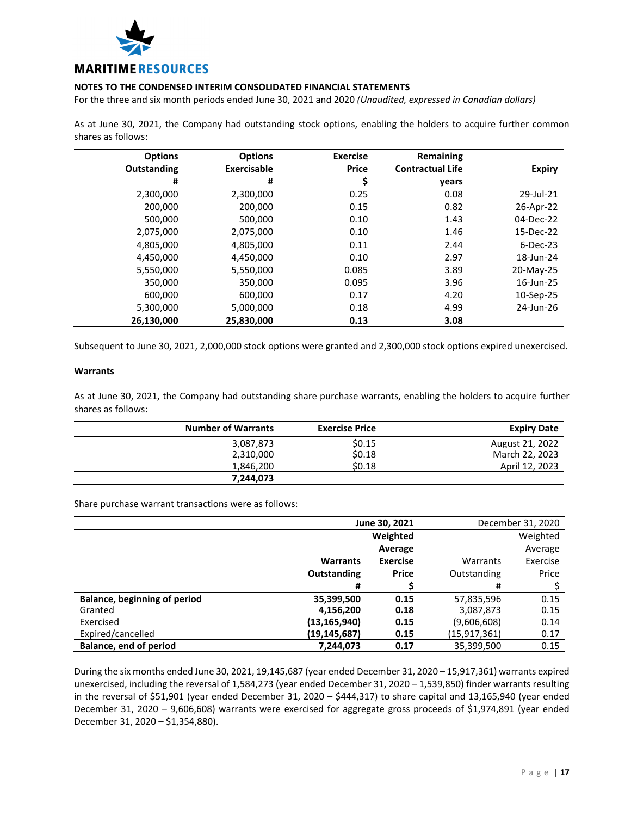

For the three and six month periods ended June 30, 2021 and 2020 *(Unaudited, expressed in Canadian dollars)*

As at June 30, 2021, the Company had outstanding stock options, enabling the holders to acquire further common shares as follows:

| <b>Options</b> | <b>Options</b> | <b>Exercise</b> | Remaining               |               |
|----------------|----------------|-----------------|-------------------------|---------------|
| Outstanding    | Exercisable    | <b>Price</b>    | <b>Contractual Life</b> | <b>Expiry</b> |
| #              | #              | Ş               | years                   |               |
| 2,300,000      | 2,300,000      | 0.25            | 0.08                    | 29-Jul-21     |
| 200,000        | 200,000        | 0.15            | 0.82                    | 26-Apr-22     |
| 500,000        | 500,000        | 0.10            |                         | 04-Dec-22     |
| 2,075,000      | 2,075,000      | 0.10            | 1.46                    | 15-Dec-22     |
| 4,805,000      | 4,805,000      | 0.11            | 2.44                    | $6$ -Dec-23   |
| 4,450,000      | 4,450,000      | 0.10            | 2.97                    | 18-Jun-24     |
| 5,550,000      | 5,550,000      | 0.085           |                         | 20-May-25     |
| 350,000        | 350,000        | 0.095           | 3.96                    | 16-Jun-25     |
| 600,000        | 600,000        | 0.17            | 4.20                    | 10-Sep-25     |
| 5,300,000      | 5,000,000      | 0.18            | 4.99                    | 24-Jun-26     |
| 26,130,000     | 25,830,000     | 0.13            | 3.08                    |               |

Subsequent to June 30, 2021, 2,000,000 stock options were granted and 2,300,000 stock options expired unexercised.

#### **Warrants**

As at June 30, 2021, the Company had outstanding share purchase warrants, enabling the holders to acquire further shares as follows:

| <b>Number of Warrants</b> | <b>Exercise Price</b> | <b>Expiry Date</b> |
|---------------------------|-----------------------|--------------------|
| 3,087,873                 | \$0.15                | August 21, 2022    |
| 2,310,000                 | \$0.18                | March 22, 2023     |
| 1.846.200                 | \$0.18                | April 12, 2023     |
| 7.244.073                 |                       |                    |

Share purchase warrant transactions were as follows:

|                                     | June 30, 2021   |                 | December 31, 2020 |          |
|-------------------------------------|-----------------|-----------------|-------------------|----------|
|                                     |                 | Weighted        |                   | Weighted |
|                                     |                 | Average         |                   | Average  |
|                                     | <b>Warrants</b> | <b>Exercise</b> | Warrants          | Exercise |
|                                     | Outstanding     | <b>Price</b>    | Outstanding       | Price    |
|                                     | #               |                 | #                 |          |
| <b>Balance, beginning of period</b> | 35,399,500      | 0.15            | 57,835,596        | 0.15     |
| Granted                             | 4,156,200       | 0.18            | 3,087,873         | 0.15     |
| Exercised                           | (13,165,940)    | 0.15            | (9,606,608)       | 0.14     |
| Expired/cancelled                   | (19,145,687)    | 0.15            | (15, 917, 361)    | 0.17     |
| Balance, end of period              | 7.244.073       | 0.17            | 35,399,500        | 0.15     |

During the six months ended June 30, 2021, 19,145,687 (year ended December 31, 2020 – 15,917,361) warrants expired unexercised, including the reversal of 1,584,273 (year ended December 31, 2020 – 1,539,850) finder warrants resulting in the reversal of \$51,901 (year ended December 31, 2020 – \$444,317) to share capital and 13,165,940 (year ended December 31, 2020 – 9,606,608) warrants were exercised for aggregate gross proceeds of \$1,974,891 (year ended December 31, 2020 – \$1,354,880).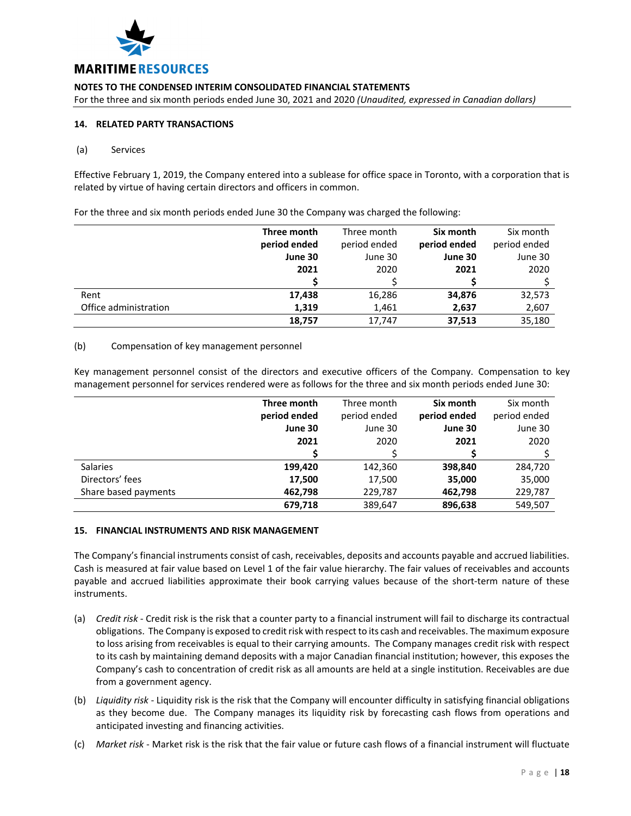

For the three and six month periods ended June 30, 2021 and 2020 *(Unaudited, expressed in Canadian dollars)*

# **14. RELATED PARTY TRANSACTIONS**

#### (a) Services

Effective February 1, 2019, the Company entered into a sublease for office space in Toronto, with a corporation that is related by virtue of having certain directors and officers in common.

For the three and six month periods ended June 30 the Company was charged the following:

|                       | Three month  | Three month  | Six month    | Six month    |
|-----------------------|--------------|--------------|--------------|--------------|
|                       | period ended | period ended | period ended | period ended |
|                       | June 30      | June 30      | June 30      | June 30      |
|                       | 2021         | 2020         | 2021         | 2020         |
|                       |              |              |              |              |
| Rent                  | 17,438       | 16,286       | 34,876       | 32,573       |
| Office administration | 1,319        | 1,461        | 2,637        | 2,607        |
|                       | 18,757       | 17,747       | 37,513       | 35,180       |

#### (b) Compensation of key management personnel

Key management personnel consist of the directors and executive officers of the Company. Compensation to key management personnel for services rendered were as follows for the three and six month periods ended June 30:

|                      | Three month  | Three month  | Six month    | Six month    |
|----------------------|--------------|--------------|--------------|--------------|
|                      | period ended | period ended | period ended | period ended |
|                      | June 30      | June 30      | June 30      | June 30      |
|                      | 2021         | 2020         | 2021         | 2020         |
|                      |              |              |              |              |
| Salaries             | 199,420      | 142,360      | 398,840      | 284,720      |
| Directors' fees      | 17,500       | 17,500       | 35,000       | 35,000       |
| Share based payments | 462,798      | 229,787      | 462,798      | 229,787      |
|                      | 679.718      | 389,647      | 896,638      | 549,507      |

#### **15. FINANCIAL INSTRUMENTS AND RISK MANAGEMENT**

The Company's financial instruments consist of cash, receivables, deposits and accounts payable and accrued liabilities. Cash is measured at fair value based on Level 1 of the fair value hierarchy. The fair values of receivables and accounts payable and accrued liabilities approximate their book carrying values because of the short‐term nature of these instruments.

- (a) *Credit risk* ‐ Credit risk is the risk that a counter party to a financial instrument will fail to discharge its contractual obligations. The Company is exposed to credit risk with respect to its cash and receivables. The maximum exposure to loss arising from receivables is equal to their carrying amounts. The Company manages credit risk with respect to its cash by maintaining demand deposits with a major Canadian financial institution; however, this exposes the Company's cash to concentration of credit risk as all amounts are held at a single institution. Receivables are due from a government agency.
- (b) *Liquidity risk* ‐ Liquidity risk is the risk that the Company will encounter difficulty in satisfying financial obligations as they become due. The Company manages its liquidity risk by forecasting cash flows from operations and anticipated investing and financing activities.
- (c) *Market risk* ‐ Market risk is the risk that the fair value or future cash flows of a financial instrument will fluctuate